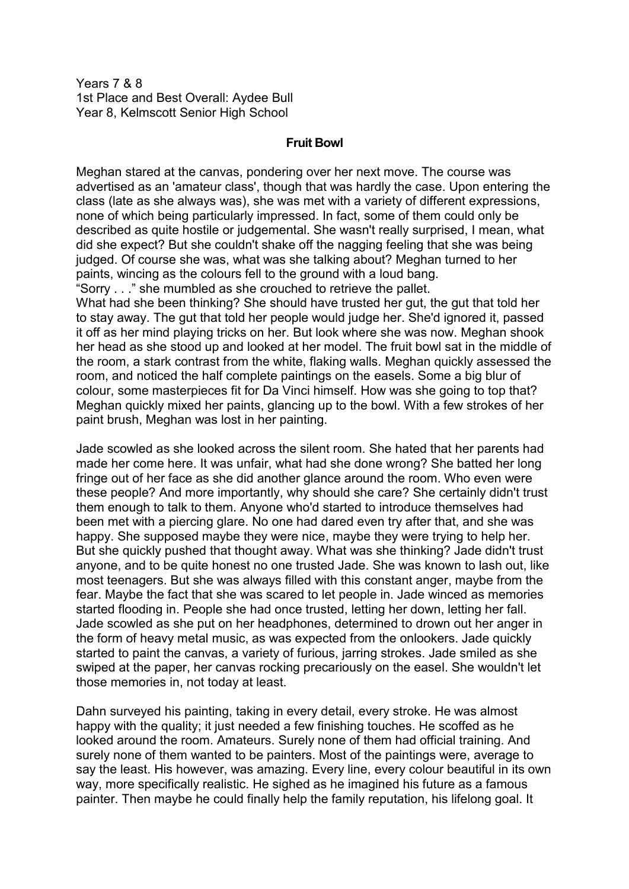Years 7 & 8 1st Place and Best Overall: Aydee Bull Year 8, Kelmscott Senior High School

## **Fruit Bowl**

Meghan stared at the canvas, pondering over her next move. The course was advertised as an 'amateur class', though that was hardly the case. Upon entering the class (late as she always was), she was met with a variety of different expressions, none of which being particularly impressed. In fact, some of them could only be described as quite hostile or judgemental. She wasn't really surprised, I mean, what did she expect? But she couldn't shake off the nagging feeling that she was being judged. Of course she was, what was she talking about? Meghan turned to her paints, wincing as the colours fell to the ground with a loud bang. "Sorry . . ." she mumbled as she crouched to retrieve the pallet.

What had she been thinking? She should have trusted her gut, the gut that told her to stay away. The gut that told her people would judge her. She'd ignored it, passed it off as her mind playing tricks on her. But look where she was now. Meghan shook her head as she stood up and looked at her model. The fruit bowl sat in the middle of the room, a stark contrast from the white, flaking walls. Meghan quickly assessed the room, and noticed the half complete paintings on the easels. Some a big blur of colour, some masterpieces fit for Da Vinci himself. How was she going to top that? Meghan quickly mixed her paints, glancing up to the bowl. With a few strokes of her paint brush, Meghan was lost in her painting.

Jade scowled as she looked across the silent room. She hated that her parents had made her come here. It was unfair, what had she done wrong? She batted her long fringe out of her face as she did another glance around the room. Who even were these people? And more importantly, why should she care? She certainly didn't trust them enough to talk to them. Anyone who'd started to introduce themselves had been met with a piercing glare. No one had dared even try after that, and she was happy. She supposed maybe they were nice, maybe they were trying to help her. But she quickly pushed that thought away. What was she thinking? Jade didn't trust anyone, and to be quite honest no one trusted Jade. She was known to lash out, like most teenagers. But she was always filled with this constant anger, maybe from the fear. Maybe the fact that she was scared to let people in. Jade winced as memories started flooding in. People she had once trusted, letting her down, letting her fall. Jade scowled as she put on her headphones, determined to drown out her anger in the form of heavy metal music, as was expected from the onlookers. Jade quickly started to paint the canvas, a variety of furious, jarring strokes. Jade smiled as she swiped at the paper, her canvas rocking precariously on the easel. She wouldn't let those memories in, not today at least.

Dahn surveyed his painting, taking in every detail, every stroke. He was almost happy with the quality; it just needed a few finishing touches. He scoffed as he looked around the room. Amateurs. Surely none of them had official training. And surely none of them wanted to be painters. Most of the paintings were, average to say the least. His however, was amazing. Every line, every colour beautiful in its own way, more specifically realistic. He sighed as he imagined his future as a famous painter. Then maybe he could finally help the family reputation, his lifelong goal. It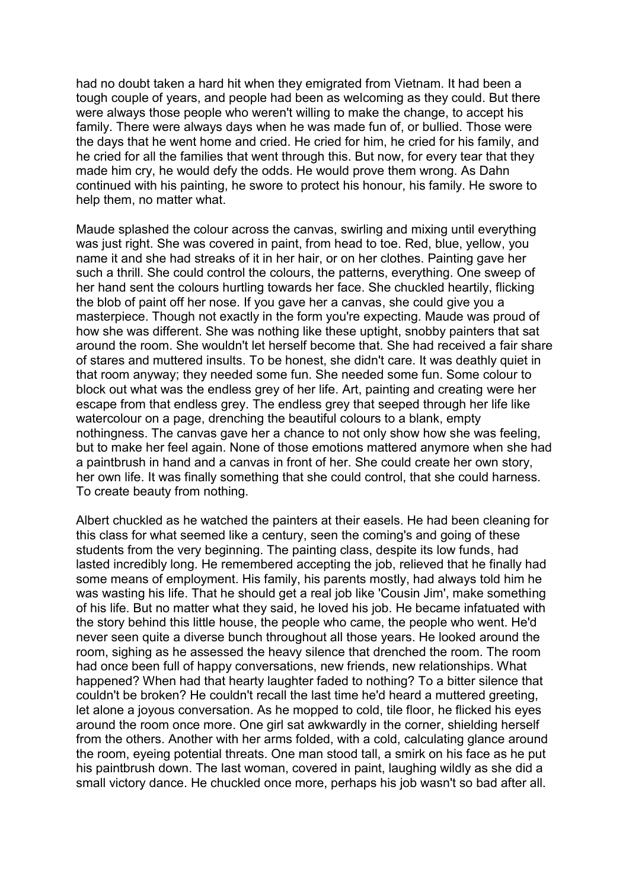had no doubt taken a hard hit when they emigrated from Vietnam. It had been a tough couple of years, and people had been as welcoming as they could. But there were always those people who weren't willing to make the change, to accept his family. There were always days when he was made fun of, or bullied. Those were the days that he went home and cried. He cried for him, he cried for his family, and he cried for all the families that went through this. But now, for every tear that they made him cry, he would defy the odds. He would prove them wrong. As Dahn continued with his painting, he swore to protect his honour, his family. He swore to help them, no matter what.

Maude splashed the colour across the canvas, swirling and mixing until everything was just right. She was covered in paint, from head to toe. Red, blue, yellow, you name it and she had streaks of it in her hair, or on her clothes. Painting gave her such a thrill. She could control the colours, the patterns, everything. One sweep of her hand sent the colours hurtling towards her face. She chuckled heartily, flicking the blob of paint off her nose. If you gave her a canvas, she could give you a masterpiece. Though not exactly in the form you're expecting. Maude was proud of how she was different. She was nothing like these uptight, snobby painters that sat around the room. She wouldn't let herself become that. She had received a fair share of stares and muttered insults. To be honest, she didn't care. It was deathly quiet in that room anyway; they needed some fun. She needed some fun. Some colour to block out what was the endless grey of her life. Art, painting and creating were her escape from that endless grey. The endless grey that seeped through her life like watercolour on a page, drenching the beautiful colours to a blank, empty nothingness. The canvas gave her a chance to not only show how she was feeling, but to make her feel again. None of those emotions mattered anymore when she had a paintbrush in hand and a canvas in front of her. She could create her own story, her own life. It was finally something that she could control, that she could harness. To create beauty from nothing.

Albert chuckled as he watched the painters at their easels. He had been cleaning for this class for what seemed like a century, seen the coming's and going of these students from the very beginning. The painting class, despite its low funds, had lasted incredibly long. He remembered accepting the job, relieved that he finally had some means of employment. His family, his parents mostly, had always told him he was wasting his life. That he should get a real job like 'Cousin Jim', make something of his life. But no matter what they said, he loved his job. He became infatuated with the story behind this little house, the people who came, the people who went. He'd never seen quite a diverse bunch throughout all those years. He looked around the room, sighing as he assessed the heavy silence that drenched the room. The room had once been full of happy conversations, new friends, new relationships. What happened? When had that hearty laughter faded to nothing? To a bitter silence that couldn't be broken? He couldn't recall the last time he'd heard a muttered greeting, let alone a joyous conversation. As he mopped to cold, tile floor, he flicked his eyes around the room once more. One girl sat awkwardly in the corner, shielding herself from the others. Another with her arms folded, with a cold, calculating glance around the room, eyeing potential threats. One man stood tall, a smirk on his face as he put his paintbrush down. The last woman, covered in paint, laughing wildly as she did a small victory dance. He chuckled once more, perhaps his job wasn't so bad after all.